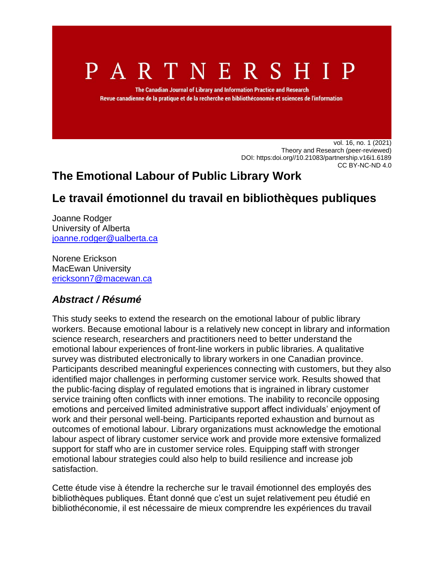# P A R T N E R S H I P

The Canadian Journal of Library and Information Practice and Research Revue canadienne de la pratique et de la recherche en bibliothéconomie et sciences de l'information

> vol. 16, no. 1 (2021) Theory and Research (peer-reviewed) DOI: [https:doi.org//10.21083/partnership.v16i1.6189](https://doi.org/10.21083/partnership.v16i1.6189) [CC BY-NC-ND 4.0](https://creativecommons.org/licenses/by-nc-nd/4.0/)

# **The Emotional Labour of Public Library Work**

# **Le travail émotionnel du travail en bibliothèques publiques**

Joanne Rodger University of Alberta [joanne.rodger@ualberta.ca](mailto:joanne.rodger@ualberta.ca)

Norene Erickson MacEwan University [ericksonn7@macewan.ca](mailto:ericksonn7@macewan.ca)

# *Abstract / Résumé*

This study seeks to extend the research on the emotional labour of public library workers. Because emotional labour is a relatively new concept in library and information science research, researchers and practitioners need to better understand the emotional labour experiences of front-line workers in public libraries. A qualitative survey was distributed electronically to library workers in one Canadian province. Participants described meaningful experiences connecting with customers, but they also identified major challenges in performing customer service work. Results showed that the public-facing display of regulated emotions that is ingrained in library customer service training often conflicts with inner emotions. The inability to reconcile opposing emotions and perceived limited administrative support affect individuals' enjoyment of work and their personal well-being. Participants reported exhaustion and burnout as outcomes of emotional labour. Library organizations must acknowledge the emotional labour aspect of library customer service work and provide more extensive formalized support for staff who are in customer service roles. Equipping staff with stronger emotional labour strategies could also help to build resilience and increase job satisfaction.

Cette étude vise à étendre la recherche sur le travail émotionnel des employés des bibliothèques publiques. Étant donné que c'est un sujet relativement peu étudié en bibliothéconomie, il est nécessaire de mieux comprendre les expériences du travail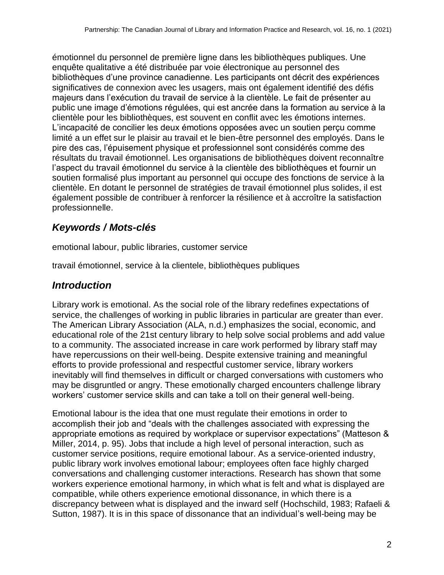émotionnel du personnel de première ligne dans les bibliothèques publiques. Une enquête qualitative a été distribuée par voie électronique au personnel des bibliothèques d'une province canadienne. Les participants ont décrit des expériences significatives de connexion avec les usagers, mais ont également identifié des défis majeurs dans l'exécution du travail de service à la clientèle. Le fait de présenter au public une image d'émotions régulées, qui est ancrée dans la formation au service à la clientèle pour les bibliothèques, est souvent en conflit avec les émotions internes. L'incapacité de concilier les deux émotions opposées avec un soutien perçu comme limité a un effet sur le plaisir au travail et le bien-être personnel des employés. Dans le pire des cas, l'épuisement physique et professionnel sont considérés comme des résultats du travail émotionnel. Les organisations de bibliothèques doivent reconnaître l'aspect du travail émotionnel du service à la clientèle des bibliothèques et fournir un soutien formalisé plus important au personnel qui occupe des fonctions de service à la clientèle. En dotant le personnel de stratégies de travail émotionnel plus solides, il est également possible de contribuer à renforcer la résilience et à accroître la satisfaction professionnelle.

# *Keywords / Mots-clés*

emotional labour, public libraries, customer service

travail émotionnel, service à la clientele, bibliothèques publiques

# *Introduction*

Library work is emotional. As the social role of the library redefines expectations of service, the challenges of working in public libraries in particular are greater than ever. The American Library Association (ALA, n.d.) emphasizes the social, economic, and educational role of the 21st century library to help solve social problems and add value to a community. The associated increase in care work performed by library staff may have repercussions on their well-being. Despite extensive training and meaningful efforts to provide professional and respectful customer service, library workers inevitably will find themselves in difficult or charged conversations with customers who may be disgruntled or angry. These emotionally charged encounters challenge library workers' customer service skills and can take a toll on their general well-being.

Emotional labour is the idea that one must regulate their emotions in order to accomplish their job and "deals with the challenges associated with expressing the appropriate emotions as required by workplace or supervisor expectations" (Matteson & Miller, 2014, p. 95). Jobs that include a high level of personal interaction, such as customer service positions, require emotional labour. As a service-oriented industry, public library work involves emotional labour; employees often face highly charged conversations and challenging customer interactions. Research has shown that some workers experience emotional harmony, in which what is felt and what is displayed are compatible, while others experience emotional dissonance, in which there is a discrepancy between what is displayed and the inward self (Hochschild, 1983; Rafaeli & Sutton, 1987). It is in this space of dissonance that an individual's well-being may be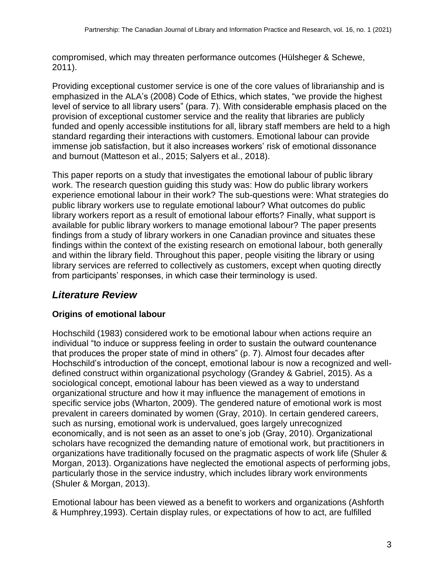compromised, which may threaten performance outcomes (Hülsheger & Schewe, 2011).

Providing exceptional customer service is one of the core values of librarianship and is emphasized in the ALA's (2008) Code of Ethics, which states, "we provide the highest level of service to all library users" (para. 7). With considerable emphasis placed on the provision of exceptional customer service and the reality that libraries are publicly funded and openly accessible institutions for all, library staff members are held to a high standard regarding their interactions with customers. Emotional labour can provide immense job satisfaction, but it also increases workers' risk of emotional dissonance and burnout (Matteson et al., 2015; Salyers et al., 2018).

This paper reports on a study that investigates the emotional labour of public library work. The research question guiding this study was: How do public library workers experience emotional labour in their work? The sub-questions were: What strategies do public library workers use to regulate emotional labour? What outcomes do public library workers report as a result of emotional labour efforts? Finally, what support is available for public library workers to manage emotional labour? The paper presents findings from a study of library workers in one Canadian province and situates these findings within the context of the existing research on emotional labour, both generally and within the library field. Throughout this paper, people visiting the library or using library services are referred to collectively as customers, except when quoting directly from participants' responses, in which case their terminology is used.

# *Literature Review*

## **Origins of emotional labour**

Hochschild (1983) considered work to be emotional labour when actions require an individual "to induce or suppress feeling in order to sustain the outward countenance that produces the proper state of mind in others" (p. 7). Almost four decades after Hochschild's introduction of the concept, emotional labour is now a recognized and welldefined construct within organizational psychology (Grandey & Gabriel, 2015). As a sociological concept, emotional labour has been viewed as a way to understand organizational structure and how it may influence the management of emotions in specific service jobs (Wharton, 2009). The gendered nature of emotional work is most prevalent in careers dominated by women (Gray, 2010). In certain gendered careers, such as nursing, emotional work is undervalued, goes largely unrecognized economically, and is not seen as an asset to one's job (Gray, 2010). Organizational scholars have recognized the demanding nature of emotional work, but practitioners in organizations have traditionally focused on the pragmatic aspects of work life (Shuler & Morgan, 2013). Organizations have neglected the emotional aspects of performing jobs, particularly those in the service industry, which includes library work environments (Shuler & Morgan, 2013).

Emotional labour has been viewed as a benefit to workers and organizations (Ashforth & Humphrey,1993). Certain display rules, or expectations of how to act, are fulfilled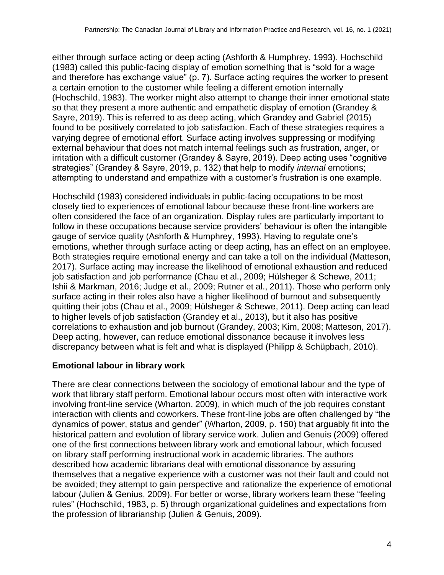either through surface acting or deep acting (Ashforth & Humphrey, 1993). Hochschild (1983) called this public-facing display of emotion something that is "sold for a wage and therefore has exchange value" (p. 7). Surface acting requires the worker to present a certain emotion to the customer while feeling a different emotion internally (Hochschild, 1983). The worker might also attempt to change their inner emotional state so that they present a more authentic and empathetic display of emotion (Grandey & Sayre, 2019). This is referred to as deep acting, which Grandey and Gabriel (2015) found to be positively correlated to job satisfaction. Each of these strategies requires a varying degree of emotional effort. Surface acting involves suppressing or modifying external behaviour that does not match internal feelings such as frustration, anger, or irritation with a difficult customer (Grandey & Sayre, 2019). Deep acting uses "cognitive strategies" (Grandey & Sayre, 2019, p. 132) that help to modify *internal* emotions; attempting to understand and empathize with a customer's frustration is one example.

Hochschild (1983) considered individuals in public-facing occupations to be most closely tied to experiences of emotional labour because these front-line workers are often considered the face of an organization. Display rules are particularly important to follow in these occupations because service providers' behaviour is often the intangible gauge of service quality (Ashforth & Humphrey, 1993). Having to regulate one's emotions, whether through surface acting or deep acting, has an effect on an employee. Both strategies require emotional energy and can take a toll on the individual (Matteson, 2017). Surface acting may increase the likelihood of emotional exhaustion and reduced job satisfaction and job performance (Chau et al., 2009; Hülsheger & Schewe, 2011; Ishii & Markman, 2016; Judge et al., 2009; Rutner et al., 2011). Those who perform only surface acting in their roles also have a higher likelihood of burnout and subsequently quitting their jobs (Chau et al., 2009; Hülsheger & Schewe, 2011). Deep acting can lead to higher levels of job satisfaction (Grandey et al., 2013), but it also has positive correlations to exhaustion and job burnout (Grandey, 2003; Kim, 2008; Matteson, 2017). Deep acting, however, can reduce emotional dissonance because it involves less discrepancy between what is felt and what is displayed (Philipp & Schüpbach, 2010).

#### **Emotional labour in library work**

There are clear connections between the sociology of emotional labour and the type of work that library staff perform. Emotional labour occurs most often with interactive work involving front-line service (Wharton, 2009), in which much of the job requires constant interaction with clients and coworkers. These front-line jobs are often challenged by "the dynamics of power, status and gender" (Wharton, 2009, p. 150) that arguably fit into the historical pattern and evolution of library service work. Julien and Genuis (2009) offered one of the first connections between library work and emotional labour, which focused on library staff performing instructional work in academic libraries. The authors described how academic librarians deal with emotional dissonance by assuring themselves that a negative experience with a customer was not their fault and could not be avoided; they attempt to gain perspective and rationalize the experience of emotional labour (Julien & Genius, 2009). For better or worse, library workers learn these "feeling rules" (Hochschild, 1983, p. 5) through organizational guidelines and expectations from the profession of librarianship (Julien & Genuis, 2009).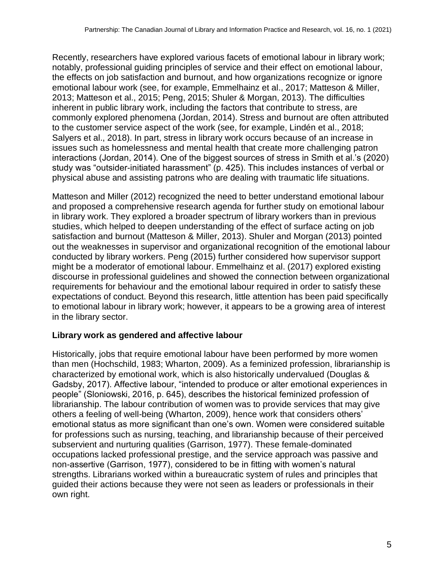Recently, researchers have explored various facets of emotional labour in library work; notably, professional guiding principles of service and their effect on emotional labour, the effects on job satisfaction and burnout, and how organizations recognize or ignore emotional labour work (see, for example, Emmelhainz et al., 2017; Matteson & Miller, 2013; Matteson et al., 2015; Peng, 2015; Shuler & Morgan, 2013). The difficulties inherent in public library work, including the factors that contribute to stress, are commonly explored phenomena (Jordan, 2014). Stress and burnout are often attributed to the customer service aspect of the work (see, for example, Lindén et al., 2018; Salyers et al., 2018). In part, stress in library work occurs because of an increase in issues such as homelessness and mental health that create more challenging patron interactions (Jordan, 2014). One of the biggest sources of stress in Smith et al.'s (2020) study was "outsider-initiated harassment" (p. 425). This includes instances of verbal or physical abuse and assisting patrons who are dealing with traumatic life situations.

Matteson and Miller (2012) recognized the need to better understand emotional labour and proposed a comprehensive research agenda for further study on emotional labour in library work. They explored a broader spectrum of library workers than in previous studies, which helped to deepen understanding of the effect of surface acting on job satisfaction and burnout (Matteson & Miller, 2013). Shuler and Morgan (2013) pointed out the weaknesses in supervisor and organizational recognition of the emotional labour conducted by library workers. Peng (2015) further considered how supervisor support might be a moderator of emotional labour. Emmelhainz et al. (2017) explored existing discourse in professional guidelines and showed the connection between organizational requirements for behaviour and the emotional labour required in order to satisfy these expectations of conduct. Beyond this research, little attention has been paid specifically to emotional labour in library work; however, it appears to be a growing area of interest in the library sector.

#### **Library work as gendered and affective labour**

Historically, jobs that require emotional labour have been performed by more women than men (Hochschild, 1983; Wharton, 2009). As a feminized profession, librarianship is characterized by emotional work, which is also historically undervalued (Douglas & Gadsby, 2017). Affective labour, "intended to produce or alter emotional experiences in people" (Sloniowski, 2016, p. 645), describes the historical feminized profession of librarianship. The labour contribution of women was to provide services that may give others a feeling of well-being (Wharton, 2009), hence work that considers others' emotional status as more significant than one's own. Women were considered suitable for professions such as nursing, teaching, and librarianship because of their perceived subservient and nurturing qualities (Garrison, 1977). These female-dominated occupations lacked professional prestige, and the service approach was passive and non-assertive (Garrison, 1977), considered to be in fitting with women's natural strengths. Librarians worked within a bureaucratic system of rules and principles that guided their actions because they were not seen as leaders or professionals in their own right.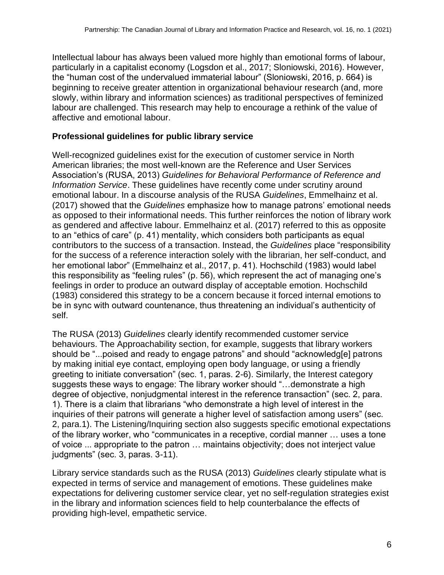Intellectual labour has always been valued more highly than emotional forms of labour, particularly in a capitalist economy (Logsdon et al., 2017; Sloniowski, 2016). However, the "human cost of the undervalued immaterial labour" (Sloniowski, 2016, p. 664) is beginning to receive greater attention in organizational behaviour research (and, more slowly, within library and information sciences) as traditional perspectives of feminized labour are challenged. This research may help to encourage a rethink of the value of affective and emotional labour.

#### **Professional guidelines for public library service**

Well-recognized guidelines exist for the execution of customer service in North American libraries; the most well-known are the Reference and User Services Association's (RUSA, 2013) *Guidelines for Behavioral Performance of Reference and Information Service*. These guidelines have recently come under scrutiny around emotional labour. In a discourse analysis of the RUSA *Guidelines*, Emmelhainz et al. (2017) showed that the *Guidelines* emphasize how to manage patrons' emotional needs as opposed to their informational needs. This further reinforces the notion of library work as gendered and affective labour. Emmelhainz et al. (2017) referred to this as opposite to an "ethics of care" (p. 41) mentality, which considers both participants as equal contributors to the success of a transaction. Instead, the *Guidelines* place "responsibility for the success of a reference interaction solely with the librarian, her self-conduct, and her emotional labor" (Emmelhainz et al., 2017, p. 41). Hochschild (1983) would label this responsibility as "feeling rules" (p. 56), which represent the act of managing one's feelings in order to produce an outward display of acceptable emotion. Hochschild (1983) considered this strategy to be a concern because it forced internal emotions to be in sync with outward countenance, thus threatening an individual's authenticity of self.

The RUSA (2013) *Guidelines* clearly identify recommended customer service behaviours. The Approachability section, for example, suggests that library workers should be "...poised and ready to engage patrons" and should "acknowledg[e] patrons by making initial eye contact, employing open body language, or using a friendly greeting to initiate conversation" (sec. 1, paras. 2-6). Similarly, the Interest category suggests these ways to engage: The library worker should "…demonstrate a high degree of objective, nonjudgmental interest in the reference transaction" (sec. 2, para. 1). There is a claim that librarians "who demonstrate a high level of interest in the inquiries of their patrons will generate a higher level of satisfaction among users" (sec. 2, para.1). The Listening/Inquiring section also suggests specific emotional expectations of the library worker, who "communicates in a receptive, cordial manner … uses a tone of voice ... appropriate to the patron … maintains objectivity; does not interject value judgments" (sec. 3, paras. 3-11).

Library service standards such as the RUSA (2013) *Guidelines* clearly stipulate what is expected in terms of service and management of emotions. These guidelines make expectations for delivering customer service clear, yet no self-regulation strategies exist in the library and information sciences field to help counterbalance the effects of providing high-level, empathetic service.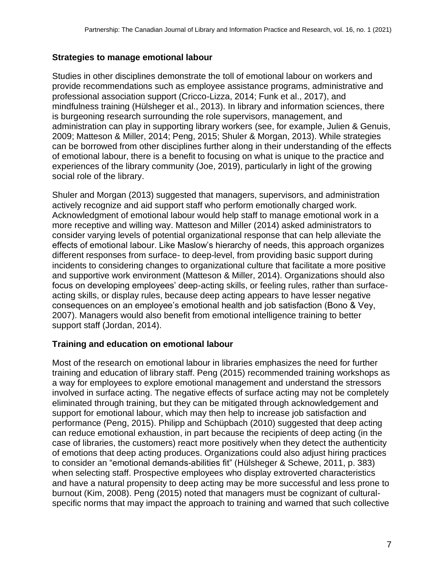#### **Strategies to manage emotional labour**

Studies in other disciplines demonstrate the toll of emotional labour on workers and provide recommendations such as employee assistance programs, administrative and professional association support (Cricco-Lizza, 2014; Funk et al., 2017), and mindfulness training (Hülsheger et al., 2013). In library and information sciences, there is burgeoning research surrounding the role supervisors, management, and administration can play in supporting library workers (see, for example, Julien & Genuis, 2009; Matteson & Miller, 2014; Peng, 2015; Shuler & Morgan, 2013). While strategies can be borrowed from other disciplines further along in their understanding of the effects of emotional labour, there is a benefit to focusing on what is unique to the practice and experiences of the library community (Joe, 2019), particularly in light of the growing social role of the library.

Shuler and Morgan (2013) suggested that managers, supervisors, and administration actively recognize and aid support staff who perform emotionally charged work. Acknowledgment of emotional labour would help staff to manage emotional work in a more receptive and willing way. Matteson and Miller (2014) asked administrators to consider varying levels of potential organizational response that can help alleviate the effects of emotional labour. Like Maslow's hierarchy of needs, this approach organizes different responses from surface- to deep-level, from providing basic support during incidents to considering changes to organizational culture that facilitate a more positive and supportive work environment (Matteson & Miller, 2014). Organizations should also focus on developing employees' deep-acting skills, or feeling rules, rather than surfaceacting skills, or display rules, because deep acting appears to have lesser negative consequences on an employee's emotional health and job satisfaction (Bono & Vey, 2007). Managers would also benefit from emotional intelligence training to better support staff (Jordan, 2014).

#### **Training and education on emotional labour**

Most of the research on emotional labour in libraries emphasizes the need for further training and education of library staff. Peng (2015) recommended training workshops as a way for employees to explore emotional management and understand the stressors involved in surface acting. The negative effects of surface acting may not be completely eliminated through training, but they can be mitigated through acknowledgement and support for emotional labour, which may then help to increase job satisfaction and performance (Peng, 2015). Philipp and Schüpbach (2010) suggested that deep acting can reduce emotional exhaustion, in part because the recipients of deep acting (in the case of libraries, the customers) react more positively when they detect the authenticity of emotions that deep acting produces. Organizations could also adjust hiring practices to consider an "emotional demands-abilities fit" (Hülsheger & Schewe, 2011, p. 383) when selecting staff. Prospective employees who display extroverted characteristics and have a natural propensity to deep acting may be more successful and less prone to burnout (Kim, 2008). Peng (2015) noted that managers must be cognizant of culturalspecific norms that may impact the approach to training and warned that such collective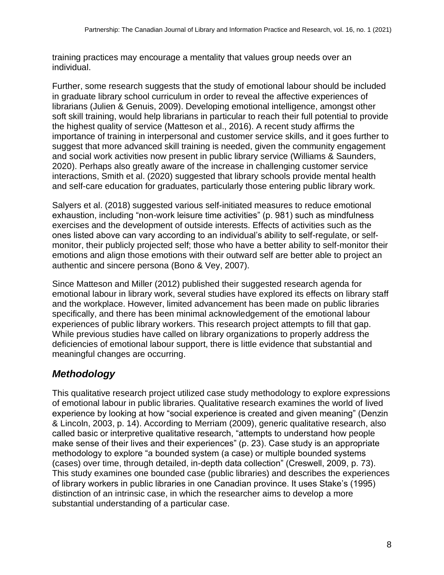training practices may encourage a mentality that values group needs over an individual.

Further, some research suggests that the study of emotional labour should be included in graduate library school curriculum in order to reveal the affective experiences of librarians (Julien & Genuis, 2009). Developing emotional intelligence, amongst other soft skill training, would help librarians in particular to reach their full potential to provide the highest quality of service (Matteson et al., 2016). A recent study affirms the importance of training in interpersonal and customer service skills, and it goes further to suggest that more advanced skill training is needed, given the community engagement and social work activities now present in public library service (Williams & Saunders, 2020). Perhaps also greatly aware of the increase in challenging customer service interactions, Smith et al. (2020) suggested that library schools provide mental health and self-care education for graduates, particularly those entering public library work.

Salyers et al. (2018) suggested various self-initiated measures to reduce emotional exhaustion, including "non-work leisure time activities" (p. 981) such as mindfulness exercises and the development of outside interests. Effects of activities such as the ones listed above can vary according to an individual's ability to self-regulate, or selfmonitor, their publicly projected self; those who have a better ability to self-monitor their emotions and align those emotions with their outward self are better able to project an authentic and sincere persona (Bono & Vey, 2007).

Since Matteson and Miller (2012) published their suggested research agenda for emotional labour in library work, several studies have explored its effects on library staff and the workplace. However, limited advancement has been made on public libraries specifically, and there has been minimal acknowledgement of the emotional labour experiences of public library workers. This research project attempts to fill that gap. While previous studies have called on library organizations to properly address the deficiencies of emotional labour support, there is little evidence that substantial and meaningful changes are occurring.

# *Methodology*

This qualitative research project utilized case study methodology to explore expressions of emotional labour in public libraries. Qualitative research examines the world of lived experience by looking at how "social experience is created and given meaning" (Denzin & Lincoln, 2003, p. 14). According to Merriam (2009), generic qualitative research, also called basic or interpretive qualitative research, "attempts to understand how people make sense of their lives and their experiences" (p. 23). Case study is an appropriate methodology to explore "a bounded system (a case) or multiple bounded systems (cases) over time, through detailed, in-depth data collection" (Creswell, 2009, p. 73). This study examines one bounded case (public libraries) and describes the experiences of library workers in public libraries in one Canadian province. It uses Stake's (1995) distinction of an intrinsic case, in which the researcher aims to develop a more substantial understanding of a particular case.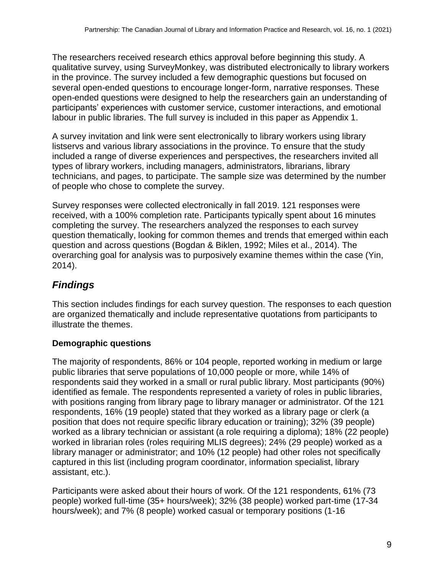The researchers received research ethics approval before beginning this study. A qualitative survey, using SurveyMonkey, was distributed electronically to library workers in the province. The survey included a few demographic questions but focused on several open-ended questions to encourage longer-form, narrative responses. These open-ended questions were designed to help the researchers gain an understanding of participants' experiences with customer service, customer interactions, and emotional labour in public libraries. The full survey is included in this paper as Appendix 1.

A survey invitation and link were sent electronically to library workers using library listservs and various library associations in the province. To ensure that the study included a range of diverse experiences and perspectives, the researchers invited all types of library workers, including managers, administrators, librarians, library technicians, and pages, to participate. The sample size was determined by the number of people who chose to complete the survey.

Survey responses were collected electronically in fall 2019. 121 responses were received, with a 100% completion rate. Participants typically spent about 16 minutes completing the survey. The researchers analyzed the responses to each survey question thematically, looking for common themes and trends that emerged within each question and across questions (Bogdan & Biklen, 1992; Miles et al., 2014). The overarching goal for analysis was to purposively examine themes within the case (Yin, 2014).

# *Findings*

This section includes findings for each survey question. The responses to each question are organized thematically and include representative quotations from participants to illustrate the themes.

## **Demographic questions**

The majority of respondents, 86% or 104 people, reported working in medium or large public libraries that serve populations of 10,000 people or more, while 14% of respondents said they worked in a small or rural public library. Most participants (90%) identified as female. The respondents represented a variety of roles in public libraries, with positions ranging from library page to library manager or administrator. Of the 121 respondents, 16% (19 people) stated that they worked as a library page or clerk (a position that does not require specific library education or training); 32% (39 people) worked as a library technician or assistant (a role requiring a diploma); 18% (22 people) worked in librarian roles (roles requiring MLIS degrees); 24% (29 people) worked as a library manager or administrator; and 10% (12 people) had other roles not specifically captured in this list (including program coordinator, information specialist, library assistant, etc.).

Participants were asked about their hours of work. Of the 121 respondents, 61% (73 people) worked full-time (35+ hours/week); 32% (38 people) worked part-time (17-34 hours/week); and 7% (8 people) worked casual or temporary positions (1-16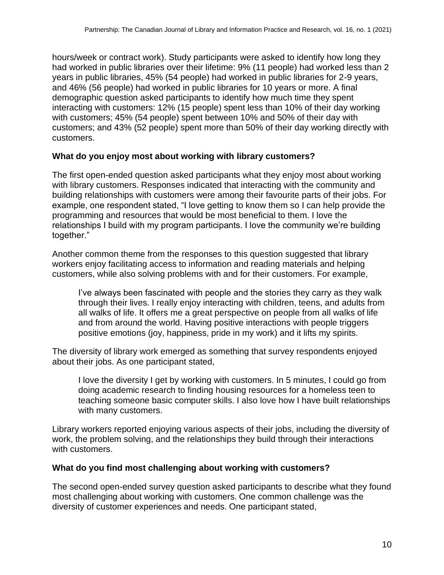hours/week or contract work). Study participants were asked to identify how long they had worked in public libraries over their lifetime: 9% (11 people) had worked less than 2 years in public libraries, 45% (54 people) had worked in public libraries for 2-9 years, and 46% (56 people) had worked in public libraries for 10 years or more. A final demographic question asked participants to identify how much time they spent interacting with customers: 12% (15 people) spent less than 10% of their day working with customers; 45% (54 people) spent between 10% and 50% of their day with customers; and 43% (52 people) spent more than 50% of their day working directly with customers.

#### **What do you enjoy most about working with library customers?**

The first open-ended question asked participants what they enjoy most about working with library customers. Responses indicated that interacting with the community and building relationships with customers were among their favourite parts of their jobs. For example, one respondent stated, "I love getting to know them so I can help provide the programming and resources that would be most beneficial to them. I love the relationships I build with my program participants. I love the community we're building together."

Another common theme from the responses to this question suggested that library workers enjoy facilitating access to information and reading materials and helping customers, while also solving problems with and for their customers. For example,

I've always been fascinated with people and the stories they carry as they walk through their lives. I really enjoy interacting with children, teens, and adults from all walks of life. It offers me a great perspective on people from all walks of life and from around the world. Having positive interactions with people triggers positive emotions (joy, happiness, pride in my work) and it lifts my spirits.

The diversity of library work emerged as something that survey respondents enjoyed about their jobs. As one participant stated,

I love the diversity I get by working with customers. In 5 minutes, I could go from doing academic research to finding housing resources for a homeless teen to teaching someone basic computer skills. I also love how I have built relationships with many customers.

Library workers reported enjoying various aspects of their jobs, including the diversity of work, the problem solving, and the relationships they build through their interactions with customers.

#### **What do you find most challenging about working with customers?**

The second open-ended survey question asked participants to describe what they found most challenging about working with customers. One common challenge was the diversity of customer experiences and needs. One participant stated,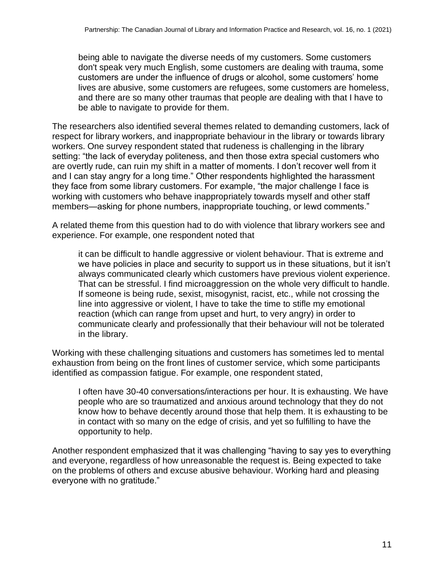being able to navigate the diverse needs of my customers. Some customers don't speak very much English, some customers are dealing with trauma, some customers are under the influence of drugs or alcohol, some customers' home lives are abusive, some customers are refugees, some customers are homeless, and there are so many other traumas that people are dealing with that I have to be able to navigate to provide for them.

The researchers also identified several themes related to demanding customers, lack of respect for library workers, and inappropriate behaviour in the library or towards library workers. One survey respondent stated that rudeness is challenging in the library setting: "the lack of everyday politeness, and then those extra special customers who are overtly rude, can ruin my shift in a matter of moments. I don't recover well from it and I can stay angry for a long time." Other respondents highlighted the harassment they face from some library customers. For example, "the major challenge I face is working with customers who behave inappropriately towards myself and other staff members—asking for phone numbers, inappropriate touching, or lewd comments."

A related theme from this question had to do with violence that library workers see and experience. For example, one respondent noted that

it can be difficult to handle aggressive or violent behaviour. That is extreme and we have policies in place and security to support us in these situations, but it isn't always communicated clearly which customers have previous violent experience. That can be stressful. I find microaggression on the whole very difficult to handle. If someone is being rude, sexist, misogynist, racist, etc., while not crossing the line into aggressive or violent, I have to take the time to stifle my emotional reaction (which can range from upset and hurt, to very angry) in order to communicate clearly and professionally that their behaviour will not be tolerated in the library.

Working with these challenging situations and customers has sometimes led to mental exhaustion from being on the front lines of customer service, which some participants identified as compassion fatigue. For example, one respondent stated,

I often have 30-40 conversations/interactions per hour. It is exhausting. We have people who are so traumatized and anxious around technology that they do not know how to behave decently around those that help them. It is exhausting to be in contact with so many on the edge of crisis, and yet so fulfilling to have the opportunity to help.

Another respondent emphasized that it was challenging "having to say yes to everything and everyone, regardless of how unreasonable the request is. Being expected to take on the problems of others and excuse abusive behaviour. Working hard and pleasing everyone with no gratitude."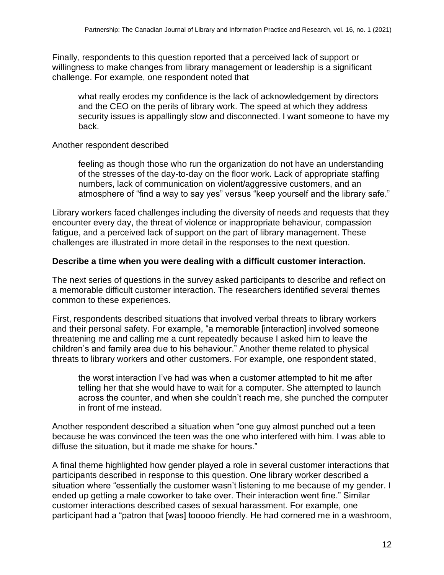Finally, respondents to this question reported that a perceived lack of support or willingness to make changes from library management or leadership is a significant challenge. For example, one respondent noted that

what really erodes my confidence is the lack of acknowledgement by directors and the CEO on the perils of library work. The speed at which they address security issues is appallingly slow and disconnected. I want someone to have my back.

#### Another respondent described

feeling as though those who run the organization do not have an understanding of the stresses of the day-to-day on the floor work. Lack of appropriate staffing numbers, lack of communication on violent/aggressive customers, and an atmosphere of "find a way to say yes" versus "keep yourself and the library safe."

Library workers faced challenges including the diversity of needs and requests that they encounter every day, the threat of violence or inappropriate behaviour, compassion fatigue, and a perceived lack of support on the part of library management. These challenges are illustrated in more detail in the responses to the next question.

#### **Describe a time when you were dealing with a difficult customer interaction.**

The next series of questions in the survey asked participants to describe and reflect on a memorable difficult customer interaction. The researchers identified several themes common to these experiences.

First, respondents described situations that involved verbal threats to library workers and their personal safety. For example, "a memorable [interaction] involved someone threatening me and calling me a cunt repeatedly because I asked him to leave the children's and family area due to his behaviour." Another theme related to physical threats to library workers and other customers. For example, one respondent stated,

the worst interaction I've had was when a customer attempted to hit me after telling her that she would have to wait for a computer. She attempted to launch across the counter, and when she couldn't reach me, she punched the computer in front of me instead.

Another respondent described a situation when "one guy almost punched out a teen because he was convinced the teen was the one who interfered with him. I was able to diffuse the situation, but it made me shake for hours."

A final theme highlighted how gender played a role in several customer interactions that participants described in response to this question. One library worker described a situation where "essentially the customer wasn't listening to me because of my gender. I ended up getting a male coworker to take over. Their interaction went fine." Similar customer interactions described cases of sexual harassment. For example, one participant had a "patron that [was] tooooo friendly. He had cornered me in a washroom,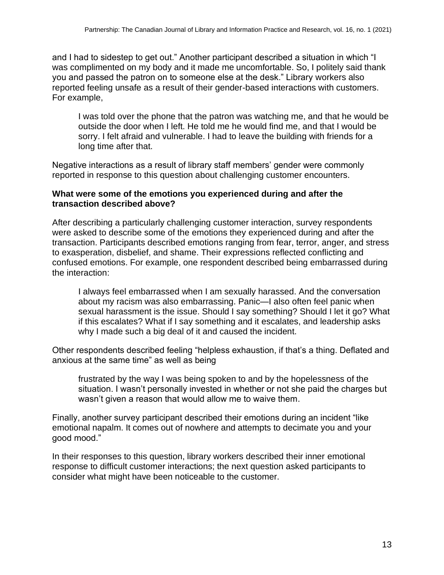and I had to sidestep to get out." Another participant described a situation in which "I was complimented on my body and it made me uncomfortable. So, I politely said thank you and passed the patron on to someone else at the desk." Library workers also reported feeling unsafe as a result of their gender-based interactions with customers. For example,

I was told over the phone that the patron was watching me, and that he would be outside the door when I left. He told me he would find me, and that I would be sorry. I felt afraid and vulnerable. I had to leave the building with friends for a long time after that.

Negative interactions as a result of library staff members' gender were commonly reported in response to this question about challenging customer encounters.

#### **What were some of the emotions you experienced during and after the transaction described above?**

After describing a particularly challenging customer interaction, survey respondents were asked to describe some of the emotions they experienced during and after the transaction. Participants described emotions ranging from fear, terror, anger, and stress to exasperation, disbelief, and shame. Their expressions reflected conflicting and confused emotions. For example, one respondent described being embarrassed during the interaction:

I always feel embarrassed when I am sexually harassed. And the conversation about my racism was also embarrassing. Panic—I also often feel panic when sexual harassment is the issue. Should I say something? Should I let it go? What if this escalates? What if I say something and it escalates, and leadership asks why I made such a big deal of it and caused the incident.

Other respondents described feeling "helpless exhaustion, if that's a thing. Deflated and anxious at the same time" as well as being

frustrated by the way I was being spoken to and by the hopelessness of the situation. I wasn't personally invested in whether or not she paid the charges but wasn't given a reason that would allow me to waive them.

Finally, another survey participant described their emotions during an incident "like emotional napalm. It comes out of nowhere and attempts to decimate you and your good mood."

In their responses to this question, library workers described their inner emotional response to difficult customer interactions; the next question asked participants to consider what might have been noticeable to the customer.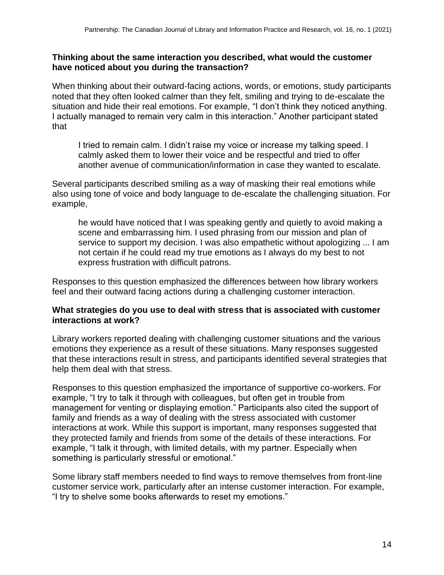#### **Thinking about the same interaction you described, what would the customer have noticed about you during the transaction?**

When thinking about their outward-facing actions, words, or emotions, study participants noted that they often looked calmer than they felt, smiling and trying to de-escalate the situation and hide their real emotions. For example, "I don't think they noticed anything. I actually managed to remain very calm in this interaction." Another participant stated that

I tried to remain calm. I didn't raise my voice or increase my talking speed. I calmly asked them to lower their voice and be respectful and tried to offer another avenue of communication/information in case they wanted to escalate.

Several participants described smiling as a way of masking their real emotions while also using tone of voice and body language to de-escalate the challenging situation. For example,

he would have noticed that I was speaking gently and quietly to avoid making a scene and embarrassing him. I used phrasing from our mission and plan of service to support my decision. I was also empathetic without apologizing ... I am not certain if he could read my true emotions as I always do my best to not express frustration with difficult patrons.

Responses to this question emphasized the differences between how library workers feel and their outward facing actions during a challenging customer interaction.

#### **What strategies do you use to deal with stress that is associated with customer interactions at work?**

Library workers reported dealing with challenging customer situations and the various emotions they experience as a result of these situations. Many responses suggested that these interactions result in stress, and participants identified several strategies that help them deal with that stress.

Responses to this question emphasized the importance of supportive co-workers. For example, "I try to talk it through with colleagues, but often get in trouble from management for venting or displaying emotion." Participants also cited the support of family and friends as a way of dealing with the stress associated with customer interactions at work. While this support is important, many responses suggested that they protected family and friends from some of the details of these interactions. For example, "I talk it through, with limited details, with my partner. Especially when something is particularly stressful or emotional."

Some library staff members needed to find ways to remove themselves from front-line customer service work, particularly after an intense customer interaction. For example, "I try to shelve some books afterwards to reset my emotions."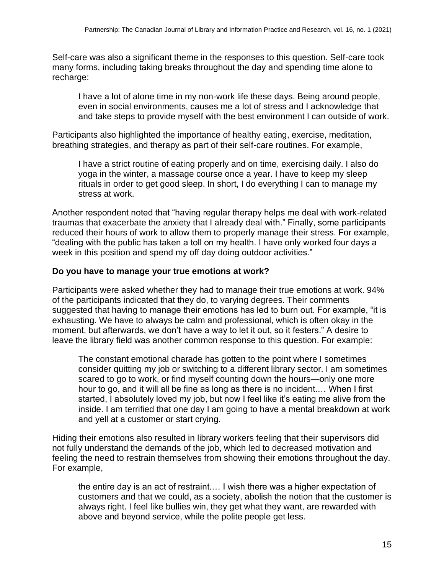Self-care was also a significant theme in the responses to this question. Self-care took many forms, including taking breaks throughout the day and spending time alone to recharge:

I have a lot of alone time in my non-work life these days. Being around people, even in social environments, causes me a lot of stress and I acknowledge that and take steps to provide myself with the best environment I can outside of work.

Participants also highlighted the importance of healthy eating, exercise, meditation, breathing strategies, and therapy as part of their self-care routines. For example,

I have a strict routine of eating properly and on time, exercising daily. I also do yoga in the winter, a massage course once a year. I have to keep my sleep rituals in order to get good sleep. In short, I do everything I can to manage my stress at work.

Another respondent noted that "having regular therapy helps me deal with work-related traumas that exacerbate the anxiety that I already deal with." Finally, some participants reduced their hours of work to allow them to properly manage their stress. For example, "dealing with the public has taken a toll on my health. I have only worked four days a week in this position and spend my off day doing outdoor activities."

#### **Do you have to manage your true emotions at work?**

Participants were asked whether they had to manage their true emotions at work. 94% of the participants indicated that they do, to varying degrees. Their comments suggested that having to manage their emotions has led to burn out. For example, "it is exhausting. We have to always be calm and professional, which is often okay in the moment, but afterwards, we don't have a way to let it out, so it festers." A desire to leave the library field was another common response to this question. For example:

The constant emotional charade has gotten to the point where I sometimes consider quitting my job or switching to a different library sector. I am sometimes scared to go to work, or find myself counting down the hours—only one more hour to go, and it will all be fine as long as there is no incident.… When I first started, I absolutely loved my job, but now I feel like it's eating me alive from the inside. I am terrified that one day I am going to have a mental breakdown at work and yell at a customer or start crying.

Hiding their emotions also resulted in library workers feeling that their supervisors did not fully understand the demands of the job, which led to decreased motivation and feeling the need to restrain themselves from showing their emotions throughout the day. For example,

the entire day is an act of restraint.… I wish there was a higher expectation of customers and that we could, as a society, abolish the notion that the customer is always right. I feel like bullies win, they get what they want, are rewarded with above and beyond service, while the polite people get less.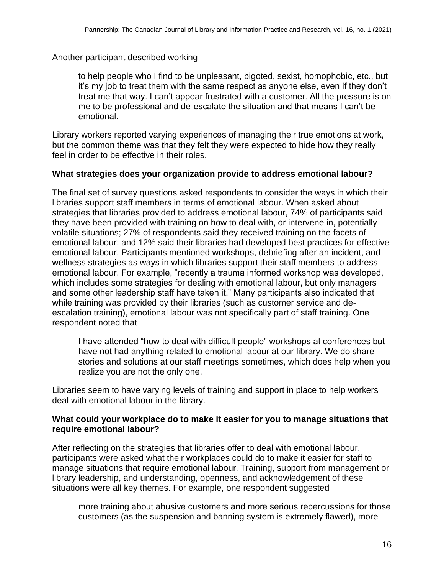Another participant described working

to help people who I find to be unpleasant, bigoted, sexist, homophobic, etc., but it's my job to treat them with the same respect as anyone else, even if they don't treat me that way. I can't appear frustrated with a customer. All the pressure is on me to be professional and de-escalate the situation and that means I can't be emotional.

Library workers reported varying experiences of managing their true emotions at work, but the common theme was that they felt they were expected to hide how they really feel in order to be effective in their roles.

#### **What strategies does your organization provide to address emotional labour?**

The final set of survey questions asked respondents to consider the ways in which their libraries support staff members in terms of emotional labour. When asked about strategies that libraries provided to address emotional labour, 74% of participants said they have been provided with training on how to deal with, or intervene in, potentially volatile situations; 27% of respondents said they received training on the facets of emotional labour; and 12% said their libraries had developed best practices for effective emotional labour. Participants mentioned workshops, debriefing after an incident, and wellness strategies as ways in which libraries support their staff members to address emotional labour. For example, "recently a trauma informed workshop was developed, which includes some strategies for dealing with emotional labour, but only managers and some other leadership staff have taken it." Many participants also indicated that while training was provided by their libraries (such as customer service and deescalation training), emotional labour was not specifically part of staff training. One respondent noted that

I have attended "how to deal with difficult people" workshops at conferences but have not had anything related to emotional labour at our library. We do share stories and solutions at our staff meetings sometimes, which does help when you realize you are not the only one.

Libraries seem to have varying levels of training and support in place to help workers deal with emotional labour in the library.

#### **What could your workplace do to make it easier for you to manage situations that require emotional labour?**

After reflecting on the strategies that libraries offer to deal with emotional labour, participants were asked what their workplaces could do to make it easier for staff to manage situations that require emotional labour. Training, support from management or library leadership, and understanding, openness, and acknowledgement of these situations were all key themes. For example, one respondent suggested

more training about abusive customers and more serious repercussions for those customers (as the suspension and banning system is extremely flawed), more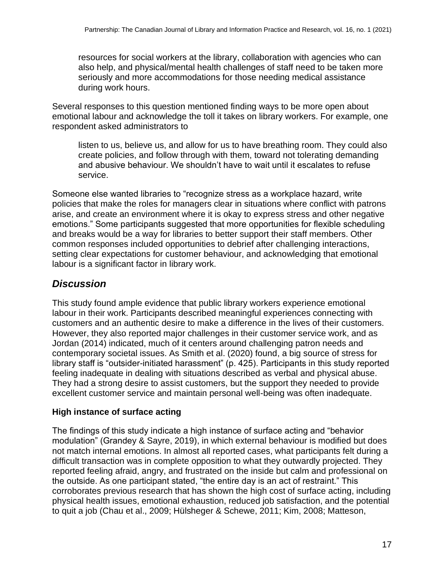resources for social workers at the library, collaboration with agencies who can also help, and physical/mental health challenges of staff need to be taken more seriously and more accommodations for those needing medical assistance during work hours.

Several responses to this question mentioned finding ways to be more open about emotional labour and acknowledge the toll it takes on library workers. For example, one respondent asked administrators to

listen to us, believe us, and allow for us to have breathing room. They could also create policies, and follow through with them, toward not tolerating demanding and abusive behaviour. We shouldn't have to wait until it escalates to refuse service.

Someone else wanted libraries to "recognize stress as a workplace hazard, write policies that make the roles for managers clear in situations where conflict with patrons arise, and create an environment where it is okay to express stress and other negative emotions." Some participants suggested that more opportunities for flexible scheduling and breaks would be a way for libraries to better support their staff members. Other common responses included opportunities to debrief after challenging interactions, setting clear expectations for customer behaviour, and acknowledging that emotional labour is a significant factor in library work.

# *Discussion*

This study found ample evidence that public library workers experience emotional labour in their work. Participants described meaningful experiences connecting with customers and an authentic desire to make a difference in the lives of their customers. However, they also reported major challenges in their customer service work, and as Jordan (2014) indicated, much of it centers around challenging patron needs and contemporary societal issues. As Smith et al. (2020) found, a big source of stress for library staff is "outsider-initiated harassment" (p. 425). Participants in this study reported feeling inadequate in dealing with situations described as verbal and physical abuse. They had a strong desire to assist customers, but the support they needed to provide excellent customer service and maintain personal well-being was often inadequate.

## **High instance of surface acting**

The findings of this study indicate a high instance of surface acting and "behavior modulation" (Grandey & Sayre, 2019), in which external behaviour is modified but does not match internal emotions. In almost all reported cases, what participants felt during a difficult transaction was in complete opposition to what they outwardly projected. They reported feeling afraid, angry, and frustrated on the inside but calm and professional on the outside. As one participant stated, "the entire day is an act of restraint." This corroborates previous research that has shown the high cost of surface acting, including physical health issues, emotional exhaustion, reduced job satisfaction, and the potential to quit a job (Chau et al., 2009; Hülsheger & Schewe, 2011; Kim, 2008; Matteson,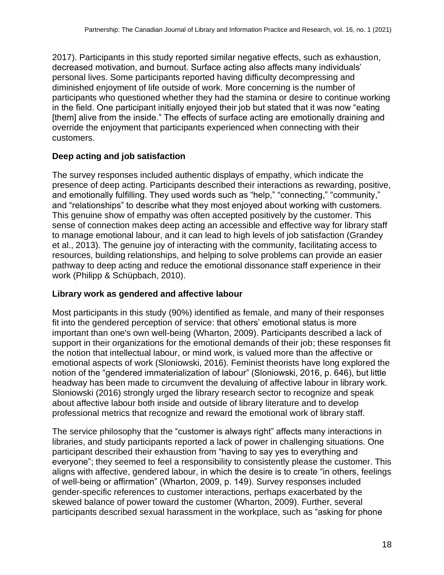2017). Participants in this study reported similar negative effects, such as exhaustion, decreased motivation, and burnout. Surface acting also affects many individuals' personal lives. Some participants reported having difficulty decompressing and diminished enjoyment of life outside of work. More concerning is the number of participants who questioned whether they had the stamina or desire to continue working in the field. One participant initially enjoyed their job but stated that it was now "eating [them] alive from the inside." The effects of surface acting are emotionally draining and override the enjoyment that participants experienced when connecting with their customers.

#### **Deep acting and job satisfaction**

The survey responses included authentic displays of empathy, which indicate the presence of deep acting. Participants described their interactions as rewarding, positive, and emotionally fulfilling. They used words such as "help," "connecting," "community," and "relationships" to describe what they most enjoyed about working with customers. This genuine show of empathy was often accepted positively by the customer. This sense of connection makes deep acting an accessible and effective way for library staff to manage emotional labour, and it can lead to high levels of job satisfaction (Grandey et al., 2013). The genuine joy of interacting with the community, facilitating access to resources, building relationships, and helping to solve problems can provide an easier pathway to deep acting and reduce the emotional dissonance staff experience in their work (Philipp & Schüpbach, 2010).

#### **Library work as gendered and affective labour**

Most participants in this study (90%) identified as female, and many of their responses fit into the gendered perception of service: that others' emotional status is more important than one's own well-being (Wharton, 2009). Participants described a lack of support in their organizations for the emotional demands of their job; these responses fit the notion that intellectual labour, or mind work, is valued more than the affective or emotional aspects of work (Sloniowski, 2016). Feminist theorists have long explored the notion of the "gendered immaterialization of labour" (Sloniowski, 2016, p. 646), but little headway has been made to circumvent the devaluing of affective labour in library work. Sloniowski (2016) strongly urged the library research sector to recognize and speak about affective labour both inside and outside of library literature and to develop professional metrics that recognize and reward the emotional work of library staff.

The service philosophy that the "customer is always right" affects many interactions in libraries, and study participants reported a lack of power in challenging situations. One participant described their exhaustion from "having to say yes to everything and everyone"; they seemed to feel a responsibility to consistently please the customer. This aligns with affective, gendered labour, in which the desire is to create "in others, feelings of well-being or affirmation" (Wharton, 2009, p. 149). Survey responses included gender-specific references to customer interactions, perhaps exacerbated by the skewed balance of power toward the customer (Wharton, 2009). Further, several participants described sexual harassment in the workplace, such as "asking for phone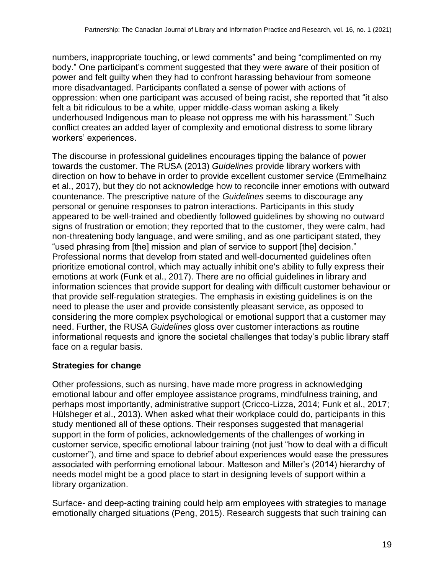numbers, inappropriate touching, or lewd comments" and being "complimented on my body." One participant's comment suggested that they were aware of their position of power and felt guilty when they had to confront harassing behaviour from someone more disadvantaged. Participants conflated a sense of power with actions of oppression: when one participant was accused of being racist, she reported that "it also felt a bit ridiculous to be a white, upper middle-class woman asking a likely underhoused Indigenous man to please not oppress me with his harassment." Such conflict creates an added layer of complexity and emotional distress to some library workers' experiences.

The discourse in professional guidelines encourages tipping the balance of power towards the customer. The RUSA (2013) *Guidelines* provide library workers with direction on how to behave in order to provide excellent customer service (Emmelhainz et al., 2017), but they do not acknowledge how to reconcile inner emotions with outward countenance. The prescriptive nature of the *Guidelines* seems to discourage any personal or genuine responses to patron interactions. Participants in this study appeared to be well-trained and obediently followed guidelines by showing no outward signs of frustration or emotion; they reported that to the customer, they were calm, had non-threatening body language, and were smiling, and as one participant stated, they "used phrasing from [the] mission and plan of service to support [the] decision." Professional norms that develop from stated and well-documented guidelines often prioritize emotional control, which may actually inhibit one's ability to fully express their emotions at work (Funk et al., 2017). There are no official guidelines in library and information sciences that provide support for dealing with difficult customer behaviour or that provide self-regulation strategies. The emphasis in existing guidelines is on the need to please the user and provide consistently pleasant service, as opposed to considering the more complex psychological or emotional support that a customer may need. Further, the RUSA *Guidelines* gloss over customer interactions as routine informational requests and ignore the societal challenges that today's public library staff face on a regular basis.

## **Strategies for change**

Other professions, such as nursing, have made more progress in acknowledging emotional labour and offer employee assistance programs, mindfulness training, and perhaps most importantly, administrative support (Cricco-Lizza, 2014; Funk et al., 2017; Hülsheger et al., 2013). When asked what their workplace could do, participants in this study mentioned all of these options. Their responses suggested that managerial support in the form of policies, acknowledgements of the challenges of working in customer service, specific emotional labour training (not just "how to deal with a difficult customer"), and time and space to debrief about experiences would ease the pressures associated with performing emotional labour. Matteson and Miller's (2014) hierarchy of needs model might be a good place to start in designing levels of support within a library organization.

Surface- and deep-acting training could help arm employees with strategies to manage emotionally charged situations (Peng, 2015). Research suggests that such training can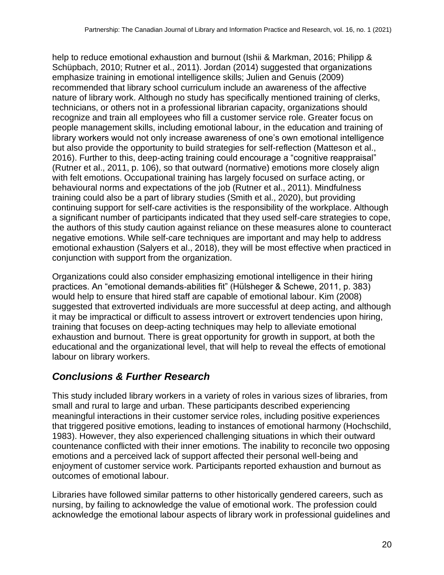help to reduce emotional exhaustion and burnout (Ishii & Markman, 2016; Philipp & Schüpbach, 2010; Rutner et al., 2011). Jordan (2014) suggested that organizations emphasize training in emotional intelligence skills; Julien and Genuis (2009) recommended that library school curriculum include an awareness of the affective nature of library work. Although no study has specifically mentioned training of clerks, technicians, or others not in a professional librarian capacity, organizations should recognize and train all employees who fill a customer service role. Greater focus on people management skills, including emotional labour, in the education and training of library workers would not only increase awareness of one's own emotional intelligence but also provide the opportunity to build strategies for self-reflection (Matteson et al., 2016). Further to this, deep-acting training could encourage a "cognitive reappraisal" (Rutner et al., 2011, p. 106), so that outward (normative) emotions more closely align with felt emotions. Occupational training has largely focused on surface acting, or behavioural norms and expectations of the job (Rutner et al., 2011). Mindfulness training could also be a part of library studies (Smith et al., 2020), but providing continuing support for self-care activities is the responsibility of the workplace. Although a significant number of participants indicated that they used self-care strategies to cope, the authors of this study caution against reliance on these measures alone to counteract negative emotions. While self-care techniques are important and may help to address emotional exhaustion (Salyers et al., 2018), they will be most effective when practiced in conjunction with support from the organization.

Organizations could also consider emphasizing emotional intelligence in their hiring practices. An "emotional demands-abilities fit" (Hülsheger & Schewe, 2011, p. 383) would help to ensure that hired staff are capable of emotional labour. Kim (2008) suggested that extroverted individuals are more successful at deep acting, and although it may be impractical or difficult to assess introvert or extrovert tendencies upon hiring, training that focuses on deep-acting techniques may help to alleviate emotional exhaustion and burnout. There is great opportunity for growth in support, at both the educational and the organizational level, that will help to reveal the effects of emotional labour on library workers.

# *Conclusions & Further Research*

This study included library workers in a variety of roles in various sizes of libraries, from small and rural to large and urban. These participants described experiencing meaningful interactions in their customer service roles, including positive experiences that triggered positive emotions, leading to instances of emotional harmony (Hochschild, 1983). However, they also experienced challenging situations in which their outward countenance conflicted with their inner emotions. The inability to reconcile two opposing emotions and a perceived lack of support affected their personal well-being and enjoyment of customer service work. Participants reported exhaustion and burnout as outcomes of emotional labour.

Libraries have followed similar patterns to other historically gendered careers, such as nursing, by failing to acknowledge the value of emotional work. The profession could acknowledge the emotional labour aspects of library work in professional guidelines and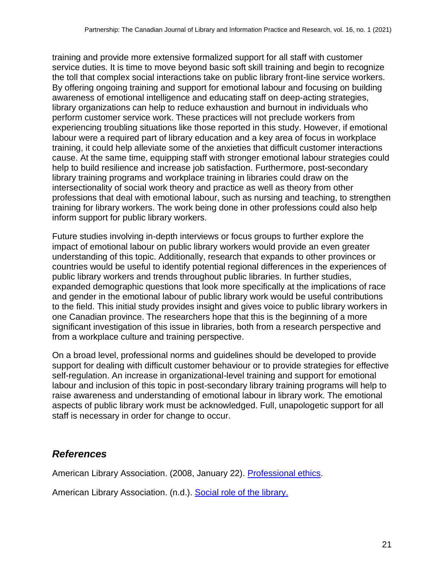training and provide more extensive formalized support for all staff with customer service duties. It is time to move beyond basic soft skill training and begin to recognize the toll that complex social interactions take on public library front-line service workers. By offering ongoing training and support for emotional labour and focusing on building awareness of emotional intelligence and educating staff on deep-acting strategies, library organizations can help to reduce exhaustion and burnout in individuals who perform customer service work. These practices will not preclude workers from experiencing troubling situations like those reported in this study. However, if emotional labour were a required part of library education and a key area of focus in workplace training, it could help alleviate some of the anxieties that difficult customer interactions cause. At the same time, equipping staff with stronger emotional labour strategies could help to build resilience and increase job satisfaction. Furthermore, post-secondary library training programs and workplace training in libraries could draw on the intersectionality of social work theory and practice as well as theory from other professions that deal with emotional labour, such as nursing and teaching, to strengthen training for library workers. The work being done in other professions could also help inform support for public library workers.

Future studies involving in-depth interviews or focus groups to further explore the impact of emotional labour on public library workers would provide an even greater understanding of this topic. Additionally, research that expands to other provinces or countries would be useful to identify potential regional differences in the experiences of public library workers and trends throughout public libraries. In further studies, expanded demographic questions that look more specifically at the implications of race and gender in the emotional labour of public library work would be useful contributions to the field. This initial study provides insight and gives voice to public library workers in one Canadian province. The researchers hope that this is the beginning of a more significant investigation of this issue in libraries, both from a research perspective and from a workplace culture and training perspective.

On a broad level, professional norms and guidelines should be developed to provide support for dealing with difficult customer behaviour or to provide strategies for effective self-regulation. An increase in organizational-level training and support for emotional labour and inclusion of this topic in post-secondary library training programs will help to raise awareness and understanding of emotional labour in library work. The emotional aspects of public library work must be acknowledged. Full, unapologetic support for all staff is necessary in order for change to occur.

## *References*

American Library Association. (2008, January 22). [Professional ethics.](http://www.ala.org/tools/ethics)

American Library Association. (n.d.). [Social role of the library.](http://www.ala.org/tools/research/librariesmatter/category/social-role-library)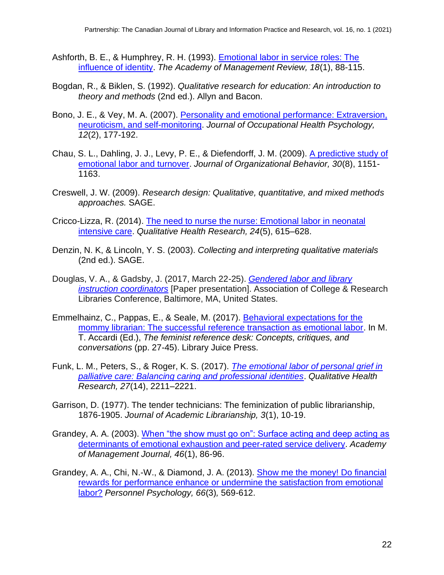- Ashforth, B. E., & Humphrey, R. H. (1993). [Emotional labor in service roles: The](https://doi.org/10.5465/amr.1993.3997508)  [influence of identity.](https://doi.org/10.5465/amr.1993.3997508) *The Academy of Management Review, 18*(1), 88-115.
- Bogdan, R., & Biklen, S. (1992). *Qualitative research for education: An introduction to theory and methods* (2nd ed.). Allyn and Bacon.
- Bono, J. E., & Vey, M. A. (2007). [Personality and emotional performance: Extraversion,](https://doi.org/10.1037/1076-8998.12.2.177)  [neuroticism, and self-monitoring.](https://doi.org/10.1037/1076-8998.12.2.177) *Journal of Occupational Health Psychology, 12*(2), 177-192.
- Chau, S. L., Dahling, J. J., Levy, P. E., & Diefendorff, J. M. (2009). [A predictive study of](https://doi.org/10.1002/job.617)  [emotional labor and turnover.](https://doi.org/10.1002/job.617) *Journal of Organizational Behavior, 30*(8), 1151- 1163.
- Creswell, J. W. (2009). *Research design: Qualitative, quantitative, and mixed methods approaches.* SAGE.
- Cricco-Lizza, R. (2014). [The need to nurse the nurse: Emotional labor in neonatal](https://doi.org/10.1177/1049732314528810)  [intensive care.](https://doi.org/10.1177/1049732314528810) *Qualitative Health Research, 24*(5), 615–628.
- Denzin, N. K, & Lincoln, Y. S. (2003). *Collecting and interpreting qualitative materials*  (2nd ed.). SAGE.
- Douglas, V. A., & Gadsby, J. (2017, March 22-25). *[Gendered labor and library](http://www.ala.org/acrl/sites/ala.org.acrl/files/content/conferences/confsandpreconfs/2017/GenderedLaborandLibraryInstructionCoordinators.pdf)  [instruction coordinators](http://www.ala.org/acrl/sites/ala.org.acrl/files/content/conferences/confsandpreconfs/2017/GenderedLaborandLibraryInstructionCoordinators.pdf)* [Paper presentation]. Association of College & Research Libraries Conference, Baltimore, MA, United States.
- Emmelhainz, C., Pappas, E., & Seale, M. (2017). [Behavioral expectations for the](https://escholarship.org/uc/item/2mq851m0)  [mommy librarian: The successful reference transaction as emotional labor.](https://escholarship.org/uc/item/2mq851m0) In M. T. Accardi (Ed.), *The feminist reference desk: Concepts, critiques, and conversations* (pp. 27-45). Library Juice Press.
- Funk, L. M., Peters, S., & Roger, K. S. (2017). *[The emotional labor of personal grief in](https://doi.org/10.1177/1049732317729139)  [palliative care: Balancing caring and professional identities](https://doi.org/10.1177/1049732317729139)*. *Qualitative Health Research, 27*(14), 2211–2221.
- Garrison, D. (1977). The tender technicians: The feminization of public librarianship, 1876-1905. *Journal of Academic Librarianship, 3*(1), 10-19.
- Grandey, A. A. (2003). [When "the show must go on": Surface acting and deep acting as](https://doi.org/10.5465/30040678)  [determinants of emotional exhaustion and peer-rated service delivery.](https://doi.org/10.5465/30040678) *Academy of Management Journal, 46*(1), 86-96.
- Grandey, A. A., Chi, N.-W., & Diamond, J. A. (2013). [Show me the money! Do financial](https://doi.org/10.1111/peps.12037)  rewards for performance enhance [or undermine the satisfaction from emotional](https://doi.org/10.1111/peps.12037)  [labor?](https://doi.org/10.1111/peps.12037) *Personnel Psychology, 66*(3)*,* 569-612.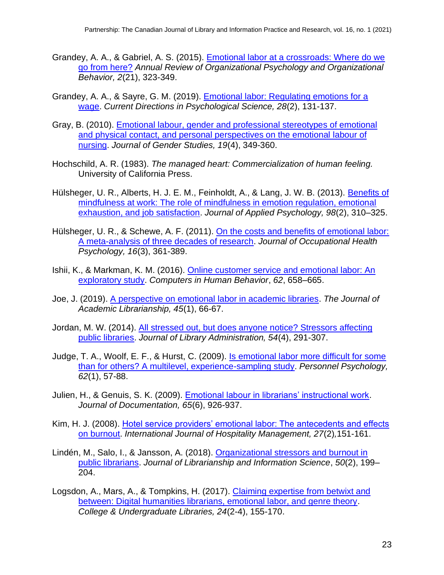- Grandey, A. A., & Gabriel, A. S. (2015). [Emotional labor at a crossroads: Where do we](https://doi.org/10.1146/annurev-orgpsych-032414-111400)  [go from here?](https://doi.org/10.1146/annurev-orgpsych-032414-111400) *Annual Review of Organizational Psychology and Organizational Behavior, 2*(21), 323-349.
- Grandey, A. A., & Sayre, G. M. (2019). [Emotional labor: Regulating emotions for a](https://doi.org/10.1177/0963721418812771)  [wage.](https://doi.org/10.1177/0963721418812771) *Current Directions in Psychological Science, 28*(2), 131-137.
- Gray, B. (2010). [Emotional labour, gender and professional stereotypes of emotional](https://doi.org/10.1080/09589236.2010.514207)  [and physical contact, and personal perspectives on the emotional labour of](https://doi.org/10.1080/09589236.2010.514207)  [nursing.](https://doi.org/10.1080/09589236.2010.514207) *Journal of Gender Studies, 19*(4), 349-360.
- Hochschild, A. R. (1983). *The managed heart: Commercialization of human feeling.*  University of California Press.
- Hülsheger, U. R., Alberts, H. J. E. M., Feinholdt, A., & Lang, J. W. B. (2013). [Benefits of](https://doi.org/10.1037/a0031313)  [mindfulness at work: The role of mindfulness in emotion regulation, emotional](https://doi.org/10.1037/a0031313)  [exhaustion, and job satisfaction.](https://doi.org/10.1037/a0031313) *Journal of Applied Psychology, 98*(2), 310–325.
- Hülsheger, U. R., & Schewe, A. F. (2011). [On the costs and benefits of emotional labor:](https://doi.org/10.1037/a0022876)  [A meta-analysis of three decades of research.](https://doi.org/10.1037/a0022876) *Journal of Occupational Health Psychology, 16*(3), 361-389.
- Ishii, K., & Markman, K. M. (2016). [Online customer service and emotional labor: An](https://doi.org/10.1016/j.chb.2016.04.037)  [exploratory study.](https://doi.org/10.1016/j.chb.2016.04.037) *Computers in Human Behavior*, *62*, 658–665.
- Joe, J. (2019). [A perspective on emotional labor in academic libraries.](https://doi.org/10.1016/j.acalib.2018.11.002) *The Journal of Academic Librarianship, 45*(1), 66-67.
- Jordan, M. W. (2014). [All stressed out, but does anyone notice? Stressors affecting](https://doi.org/10.1080/01930826.2014.924318)  [public libraries.](https://doi.org/10.1080/01930826.2014.924318) *Journal of Library Administration, 54*(4), 291-307.
- Judge, T. A., Woolf, E. F., & Hurst, C. (2009). [Is emotional labor more difficult for some](https://doi.org/10.1111/j.1744-6570.2008.01129.x)  [than for others? A multilevel, experience-sampling study.](https://doi.org/10.1111/j.1744-6570.2008.01129.x) *Personnel Psychology, 62*(1), 57-88.
- Julien, H., & Genuis, S. K. (2009). [Emotional labour in librarians' instructional work.](https://doi.org/10.1108/00220410910998924) *Journal of Documentation, 65*(6), 926-937.
- Kim, H. J. (2008). [Hotel service providers' emotional labor: The antecedents and effects](https://doi.org/10.1016/j.ijhm.2007.07.019)  [on burnout.](https://doi.org/10.1016/j.ijhm.2007.07.019) *International Journal of Hospitality Management, 27*(2)*,*151-161.
- Lindén, M., Salo, I., & Jansson, A. (2018). [Organizational stressors and burnout in](https://doi.org/10.1177/0961000616666130)  [public librarians.](https://doi.org/10.1177/0961000616666130) *Journal of Librarianship and Information Science*, *50*(2), 199– 204.
- Logsdon, A., Mars, A., & Tompkins, H. (2017). [Claiming expertise from betwixt and](https://doi.org/10.1080/10691316.2017.1326862)  [between: Digital humanities librarians, emotional labor, and genre theory.](https://doi.org/10.1080/10691316.2017.1326862) *College & Undergraduate Libraries, 24*(2-4), 155-170.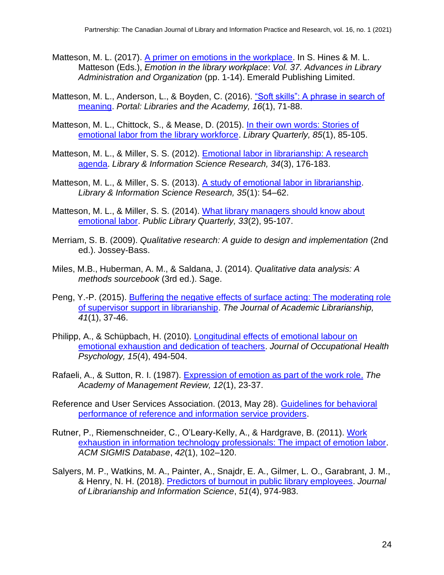- Matteson, M. L. (2017). [A primer on emotions in the workplace.](https://doi.org/10.1108/s0732-067120170000037001) In S. Hines & M. L. Matteson (Eds.), *Emotion in the library workplace*: *Vol. 37. Advances in Library Administration and Organization* (pp. 1-14). Emerald Publishing Limited.
- Matteson, M. L., Anderson, L., & Boyden, C. (2016). ["Soft skills": A phrase in search of](https://doi.org/10.1353/pla.2016.0009)  [meaning.](https://doi.org/10.1353/pla.2016.0009) *Portal: Libraries and the Academy, 16*(1), 71-88.
- Matteson, M. L., Chittock, S., & Mease, D. (2015). [In their own words: Stories of](https://doi.org/10.1086/679027)  [emotional labor from the library workforce.](https://doi.org/10.1086/679027) *Library Quarterly, 85*(1), 85-105.
- Matteson, M. L., & Miller, S. S. (2012). [Emotional labor in librarianship: A research](https://doi.org/10.1016/j.lisr.2012.02.003)  [agenda.](https://doi.org/10.1016/j.lisr.2012.02.003) *Library & Information Science Research, 34*(3), 176-183.
- Matteson, M. L., & Miller, S. S. (2013). [A study of emotional labor in librarianship.](https://doi.org/10.1016/j.lisr.2012.07.005) *Library & Information Science Research, 35*(1): 54–62.
- Matteson, M. L., & Miller, S. S. (2014). [What library managers should know about](https://doi.org/10.1080/01616846.2014.910720)  [emotional labor.](https://doi.org/10.1080/01616846.2014.910720) *Public Library Quarterly, 33*(2), 95-107.
- Merriam, S. B. (2009). *Qualitative research: A guide to design and implementation* (2nd ed.). Jossey-Bass.
- Miles, M.B., Huberman, A. M., & Saldana, J. (2014). *Qualitative data analysis: A methods sourcebook* (3rd ed.). Sage.
- Peng, Y.-P. (2015). Buffering the negative effects of surface acting: The moderating role [of supervisor support in librarianship.](https://doi.org/10.1016/j.acalib.2014.10.009) *The Journal of Academic Librarianship, 41*(1), 37-46.
- Philipp, A., & Schüpbach, H. (2010). [Longitudinal effects of emotional labour on](https://pubmed.ncbi.nlm.nih.gov/21058861/)  [emotional exhaustion and dedication of teachers.](https://pubmed.ncbi.nlm.nih.gov/21058861/) *Journal of Occupational Health Psychology, 15*(4), 494-504.
- Rafaeli, A., & Sutton, R. I. (1987). [Expression of emotion as part of the work role.](https://doi.org/10.5465/amr.1987.4306444) *The Academy of Management Review, 12*(1), 23-37.
- Reference and User Services Association. (2013, May 28). [Guidelines for behavioral](http://www.ala.org/rusa/resources/guidelines/guidelinesbehavioral)  [performance of reference and information service providers.](http://www.ala.org/rusa/resources/guidelines/guidelinesbehavioral)
- Rutner, P., Riemenschneider, C., O'Leary-Kelly, A., & Hardgrave, B. (2011). [Work](https://doi.org/10.1145/1952712.1952718)  [exhaustion in information technology professionals: The impact of emotion labor.](https://doi.org/10.1145/1952712.1952718) *ACM SIGMIS Database*, *42*(1), 102–120.
- Salyers, M. P., Watkins, M. A., Painter, A., Snajdr, E. A., Gilmer, L. O., Garabrant, J. M., & Henry, N. H. (2018). [Predictors of burnout in public library employees.](https://doi.org/10.1177/0961000618759415) *Journal of Librarianship and Information Science*, *51*(4), 974-983.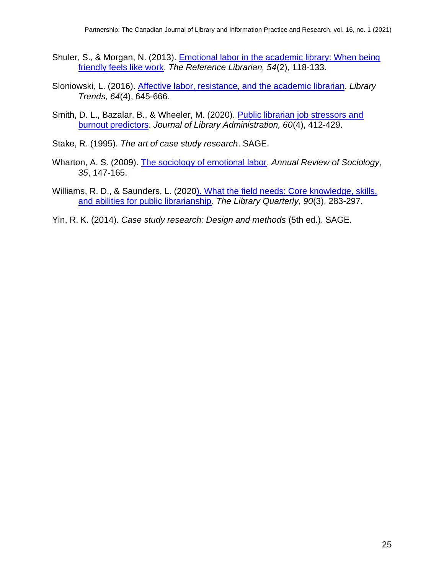- Shuler, S., & Morgan, N. (2013). [Emotional labor in the academic library: When being](https://doi.org/10.1080/02763877.2013.756684)  [friendly feels like work.](https://doi.org/10.1080/02763877.2013.756684) *The Reference Librarian, 54*(2), 118-133.
- Sloniowski, L. (2016). [Affective labor, resistance, and the academic librarian.](https://doi.org/10.1353/lib.2016.0013) *Library Trends, 64*(4), 645-666.
- Smith, D. L., Bazalar, B., & Wheeler, M. (2020). Public librarian job stressors and [burnout predictors.](https://doi.org/10.1080/01930826.2020.1733347) *Journal of Library Administration, 60*(4), 412-429.
- Stake, R. (1995). *The art of case study research*. SAGE.
- Wharton, A. S. (2009). [The sociology of emotional labor.](https://doi.org/10.1146/annurev-soc-070308-115944) *Annual Review of Sociology, 35*, 147-165.
- Williams, R. D., & Saunders, L. (2020). [What the field needs: Core knowledge, skills,](https://doi.org/10.1086/708958)  [and abilities for public librarianship.](https://doi.org/10.1086/708958) *The Library Quarterly, 90*(3), 283-297.
- Yin, R. K. (2014). *Case study research: Design and methods* (5th ed.). SAGE.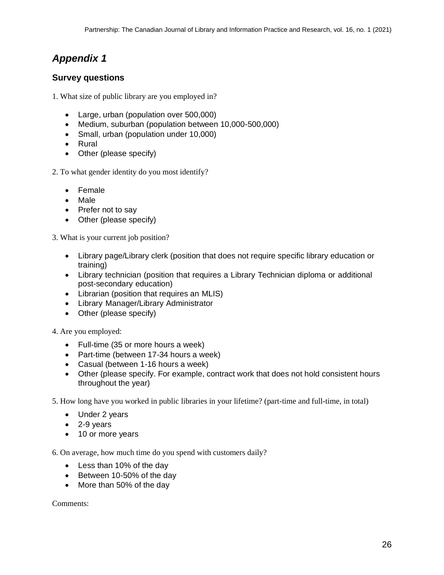# *Appendix 1*

#### **Survey questions**

1. What size of public library are you employed in?

- Large, urban (population over 500,000)
- Medium, suburban (population between 10,000-500,000)
- Small, urban (population under 10,000)
- Rural
- Other (please specify)
- 2. To what gender identity do you most identify?
	- Female
	- Male
	- Prefer not to say
	- Other (please specify)

3. What is your current job position?

- Library page/Library clerk (position that does not require specific library education or training)
- Library technician (position that requires a Library Technician diploma or additional post-secondary education)
- Librarian (position that requires an MLIS)
- Library Manager/Library Administrator
- Other (please specify)

4. Are you employed:

- Full-time (35 or more hours a week)
- Part-time (between 17-34 hours a week)
- Casual (between 1-16 hours a week)
- Other (please specify. For example, contract work that does not hold consistent hours throughout the year)

5. How long have you worked in public libraries in your lifetime? (part-time and full-time, in total)

- Under 2 years
- 2-9 years
- 10 or more years

6. On average, how much time do you spend with customers daily?

- Less than 10% of the day
- Between 10-50% of the day
- More than 50% of the day

Comments: